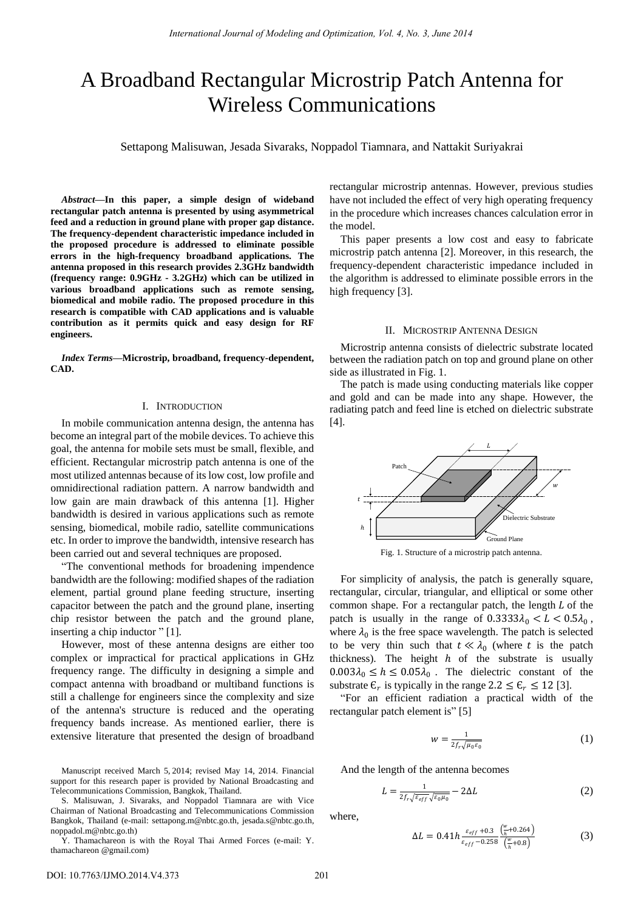# A Broadband Rectangular Microstrip Patch Antenna for Wireless Communications

Settapong Malisuwan, Jesada Sivaraks, Noppadol Tiamnara, and Nattakit Suriyakrai

*Abstract***—In this paper, a simple design of wideband rectangular patch antenna is presented by using asymmetrical feed and a reduction in ground plane with proper gap distance. The frequency-dependent characteristic impedance included in the proposed procedure is addressed to eliminate possible errors in the high-frequency broadband applications. The antenna proposed in this research provides 2.3GHz bandwidth (frequency range: 0.9GHz - 3.2GHz) which can be utilized in various broadband applications such as remote sensing, biomedical and mobile radio. The proposed procedure in this research is compatible with CAD applications and is valuable contribution as it permits quick and easy design for RF engineers.** 

*Index Terms***—Microstrip, broadband, frequency-dependent, CAD.** 

## I. INTRODUCTION

In mobile communication antenna design, the antenna has become an integral part of the mobile devices. To achieve this goal, the antenna for mobile sets must be small, flexible, and efficient. Rectangular microstrip patch antenna is one of the most utilized antennas because of its low cost, low profile and omnidirectional radiation pattern. A narrow bandwidth and low gain are main drawback of this antenna [1]. Higher bandwidth is desired in various applications such as remote sensing, biomedical, mobile radio, satellite communications etc. In order to improve the bandwidth, intensive research has been carried out and several techniques are proposed.

"The conventional methods for broadening impendence bandwidth are the following: modified shapes of the radiation element, partial ground plane feeding structure, inserting capacitor between the patch and the ground plane, inserting chip resistor between the patch and the ground plane, inserting a chip inductor " [1].

However, most of these antenna designs are either too complex or impractical for practical applications in GHz frequency range. The difficulty in designing a simple and compact antenna with broadband or multiband functions is still a challenge for engineers since the complexity and size of the antenna's structure is reduced and the operating frequency bands increase. As mentioned earlier, there is extensive literature that presented the design of broadband

Manuscript received March 5, 2014; revised May 14, 2014. Financial support for this research paper is provided by National Broadcasting and Telecommunications Commission, Bangkok, Thailand.

S. Malisuwan, J. Sivaraks, and Noppadol Tiamnara are with Vice Chairman of National Broadcasting and Telecommunications Commission Bangkok, Thailand (e-mail: [settapong.m@nbtc.go.th,](mailto:settapong.m@nbtc.go.th) jesada.s@nbtc.go.th, noppadol.m@nbtc.go.th)

Y. Thamachareon is with the Royal Thai Armed Forces (e-mail: Y. thamachareon @gmail.com)

rectangular microstrip antennas. However, previous studies have not included the effect of very high operating frequency in the procedure which increases chances calculation error in the model.

This paper presents a low cost and easy to fabricate microstrip patch antenna [2]. Moreover, in this research, the frequency-dependent characteristic impedance included in the algorithm is addressed to eliminate possible errors in the high frequency [3].

#### II. MICROSTRIP ANTENNA DESIGN

Microstrip antenna consists of dielectric substrate located between the radiation patch on top and ground plane on other side as illustrated in Fig. 1.

The patch is made using conducting materials like copper and gold and can be made into any shape. However, the radiating patch and feed line is etched on dielectric substrate [4].



Fig. 1. Structure of a microstrip patch antenna.

For simplicity of analysis, the patch is generally square, rectangular, circular, triangular, and elliptical or some other common shape. For a rectangular patch, the length  $L$  of the patch is usually in the range of  $0.3333\lambda_0 < L < 0.5\lambda_0$ , where  $\lambda_0$  is the free space wavelength. The patch is selected to be very thin such that  $t \ll \lambda_0$  (where t is the patch thickness). The height  $h$  of the substrate is usually  $0.003\lambda_0 \leq h \leq 0.05\lambda_0$ . The dielectric constant of the substrate  $\mathcal{E}_r$  is typically in the range  $2.2 \leq \mathcal{E}_r \leq 12$  [3].

"For an efficient radiation a practical width of the rectangular patch element is" [5]

$$
w = \frac{1}{2f_r\sqrt{\mu_0\varepsilon_0}}\tag{1}
$$

And the length of the antenna becomes

$$
L = \frac{1}{2f_r\sqrt{\varepsilon_{eff}}\sqrt{\varepsilon_0\mu_0}} - 2\Delta L
$$
 (2)

where,

$$
\Delta L = 0.41 h \frac{\varepsilon_{eff} + 0.3}{\varepsilon_{eff} - 0.258} \frac{\left(\frac{w}{h} + 0.264\right)}{\left(\frac{w}{h} + 0.8\right)}
$$
(3)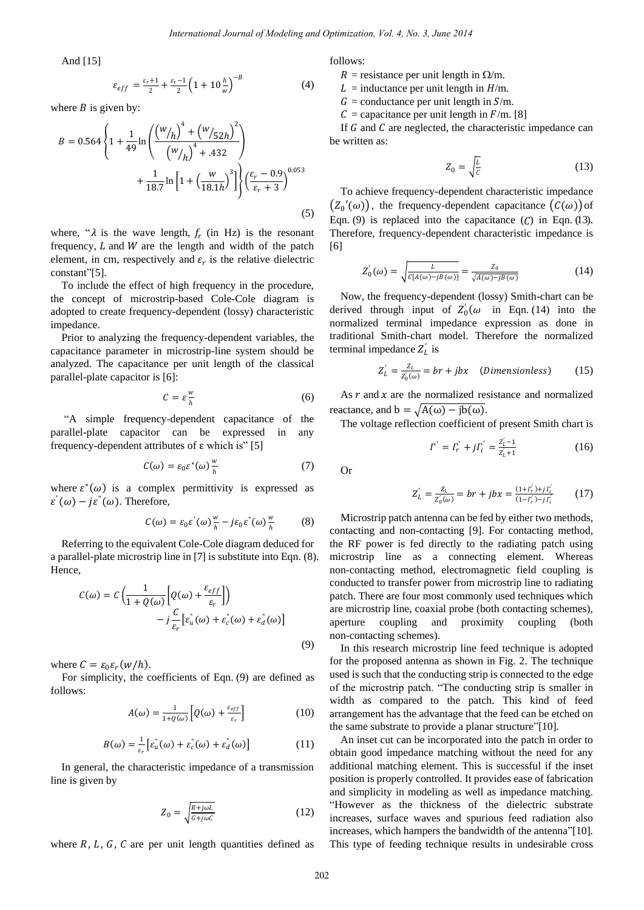And [15]

$$
\varepsilon_{eff} = \frac{\varepsilon_r + 1}{2} + \frac{\varepsilon_r - 1}{2} \left( 1 + 10 \frac{h}{w} \right)^{-B} \tag{4}
$$

where  $B$  is given by:

$$
B = 0.564 \left\{ 1 + \frac{1}{49} \ln \left( \frac{(w_{/h})^4 + (w_{/52h})^2}{(w_{/h})^4 + .432} \right) + \frac{1}{18.7} \ln \left[ 1 + \left( \frac{w}{18.1h} \right)^3 \right] \right\} \left( \frac{\varepsilon_r - 0.9}{\varepsilon_r + 3} \right)^{0.053}
$$
\n(5)

where, " $\lambda$  is the wave length,  $f_r$  (in Hz) is the resonant frequency,  $L$  and  $W$  are the length and width of the patch element, in cm, respectively and  $\varepsilon_r$  is the relative dielectric constant"[5].

To include the effect of high frequency in the procedure, the concept of microstrip-based Cole-Cole diagram is adopted to create frequency-dependent (lossy) characteristic impedance.

Prior to analyzing the frequency-dependent variables, the capacitance parameter in microstrip-line system should be analyzed. The capacitance per unit length of the classical parallel-plate capacitor is [6]:

$$
C = \varepsilon \frac{w}{h} \tag{6}
$$

"A simple frequency-dependent capacitance of the parallel-plate capacitor can be expressed in any frequency-dependent attributes of ε which is" [5]

$$
C(\omega) = \varepsilon_0 \varepsilon^*(\omega) \frac{w}{h} \tag{7}
$$

where  $\varepsilon^*(\omega)$  is a complex permittivity is expressed as  $\varepsilon'(\omega) - j\varepsilon(\omega)$ . Therefore,

$$
C(\omega) = \varepsilon_0 \varepsilon^{'}(\omega) \frac{w}{h} - j \varepsilon_0 \varepsilon^{''}(\omega) \frac{w}{h}
$$
 (8)

Referring to the equivalent Cole-Cole diagram deduced for a parallel-plate microstrip line in [7] is substitute into Eqn. (8). Hence,

$$
C(\omega) = C \left( \frac{1}{1 + Q(\omega)} \left[ Q(\omega) + \frac{\varepsilon_{eff}}{\varepsilon_r} \right] \right)
$$

$$
- j \frac{C}{\varepsilon_r} \left[ \varepsilon_u^{\dagger}(\omega) + \varepsilon_c^{\dagger}(\omega) + \varepsilon_d^{\dagger}(\omega) \right]
$$
(9)

where  $C = \varepsilon_0 \varepsilon_r (w/h)$ .

For simplicity, the coefficients of Eqn. (9) are defined as follows:

$$
A(\omega) = \frac{1}{1 + \varrho(\omega)} \Big[ Q(\omega) + \frac{\varepsilon_{eff}}{\varepsilon_r} \Big] \tag{10}
$$

$$
B(\omega) = \frac{1}{\varepsilon_r} \left[ \varepsilon_u^{\dagger}(\omega) + \varepsilon_c^{\dagger}(\omega) + \varepsilon_d^{\dagger}(\omega) \right]
$$
 (11)

In general, the characteristic impedance of a transmission line is given by

$$
Z_0 = \sqrt{\frac{R + j\omega L}{G + j\omega C}}\tag{12}
$$

where  $R$ ,  $L$ ,  $G$ ,  $C$  are per unit length quantities defined as

follows:

 $R$  = resistance per unit length in  $\Omega/m$ .

 $L =$  inductance per unit length in  $H/m$ .

 $G =$  conductance per unit length in  $S/m$ .

 $C =$  capacitance per unit length in  $F/m$ . [8]

If  $G$  and  $C$  are neglected, the characteristic impedance can be written as:

$$
Z_0 = \sqrt{\frac{L}{c}}\tag{13}
$$

To achieve frequency-dependent characteristic impedance  $(z_0'(\omega))$ , the frequency-dependent capacitance  $(c(\omega))$  of Eqn. (9) is replaced into the capacitance  $(C)$  in Eqn. (13). Therefore, frequency-dependent characteristic impedance is [6]

$$
Z'_{0}(\omega) = \sqrt{\frac{L}{C[A(\omega) - jB(\omega)]}} = \frac{Z_{0}}{\sqrt{A(\omega) - jB(\omega)}}
$$
(14)

Now, the frequency-dependent (lossy) Smith-chart can be derived through input of  $Z'_0(\omega)$  in Eqn. (14) into the normalized terminal impedance expression as done in traditional Smith-chart model. Therefore the normalized terminal impedance  $Z'_L$  is

$$
Z_L' = \frac{Z_L}{Z_0(\omega)} = br + jbx \quad (Dimensionless) \tag{15}
$$

As  $r$  and  $x$  are the normalized resistance and normalized reactance, and  $b = \sqrt{A(\omega) - ib(\omega)}$ .

The voltage reflection coefficient of present Smith chart is

$$
\Gamma^{'} = \Gamma_r^{'} + j\Gamma_i^{'} = \frac{z_{i-1}^{'-1}}{z_{i+1}^{'+1}}
$$
\n(16)

Or

$$
Z_L' = \frac{Z_L}{Z_0(\omega)} = br + jbx = \frac{(1 + \Gamma_r') + j\Gamma_l'}{(1 - \Gamma_r') - j\Gamma_l'} \tag{17}
$$

Microstrip patch antenna can be fed by either two methods, contacting and non-contacting [9]. For contacting method, the RF power is fed directly to the radiating patch using microstrip line as a connecting element. Whereas non-contacting method, electromagnetic field coupling is conducted to transfer power from microstrip line to radiating patch. There are four most commonly used techniques which are microstrip line, coaxial probe (both contacting schemes), aperture coupling and proximity coupling (both non-contacting schemes).

In this research microstrip line feed technique is adopted for the proposed antenna as shown in Fig. 2. The technique used is such that the conducting strip is connected to the edge of the microstrip patch. "The conducting strip is smaller in width as compared to the patch. This kind of feed arrangement has the advantage that the feed can be etched on the same substrate to provide a planar structure"[10].

An inset cut can be incorporated into the patch in order to obtain good impedance matching without the need for any additional matching element. This is successful if the inset position is properly controlled. It provides ease of fabrication and simplicity in modeling as well as impedance matching. "However as the thickness of the dielectric substrate increases, surface waves and spurious feed radiation also increases, which hampers the bandwidth of the antenna"[10]. This type of feeding technique results in undesirable cross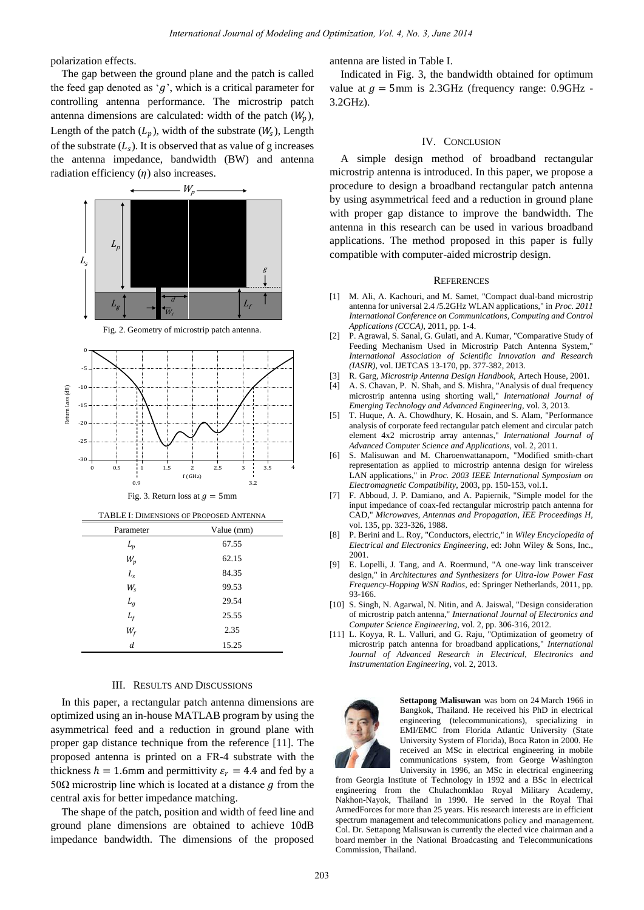polarization effects.

The gap between the ground plane and the patch is called the feed gap denoted as ' $q$ ', which is a critical parameter for controlling antenna performance. The microstrip patch antenna dimensions are calculated: width of the patch  $(W_p)$ , Length of the patch  $(L_p)$ , width of the substrate  $(W_s)$ , Length of the substrate  $(L_s)$ . It is observed that as value of g increases the antenna impedance, bandwidth (BW) and antenna radiation efficiency  $(n)$  also increases.



| 10220210<br>$\tilde{}$ |            |
|------------------------|------------|
| Parameter              | Value (mm) |
| $L_p$                  | 67.55      |
| $W_p$                  | 62.15      |
| $L_s$                  | 84.35      |
| $W_{\rm s}$            | 99.53      |
| $L_g$                  | 29.54      |
| $L_f$                  | 25.55      |
| $W_f$                  | 2.35       |
| d                      | 15.25      |

## III. RESULTS AND DISCUSSIONS

In this paper, a rectangular patch antenna dimensions are optimized using an in-house MATLAB program by using the asymmetrical feed and a reduction in ground plane with proper gap distance technique from the reference [11]. The proposed antenna is printed on a FR-4 substrate with the thickness  $h = 1.6$ mm and permittivity  $\varepsilon_r = 4.4$  and fed by a 50Ω microstrip line which is located at a distance  $g$  from the central axis for better impedance matching.

The shape of the patch, position and width of feed line and ground plane dimensions are obtained to achieve 10dB impedance bandwidth. The dimensions of the proposed antenna are listed in Table I.

Indicated in Fig. 3, the bandwidth obtained for optimum value at  $q = 5$ mm is 2.3GHz (frequency range: 0.9GHz -3.2GHz).

#### IV. CONCLUSION

A simple design method of broadband rectangular microstrip antenna is introduced. In this paper, we propose a procedure to design a broadband rectangular patch antenna by using asymmetrical feed and a reduction in ground plane with proper gap distance to improve the bandwidth. The antenna in this research can be used in various broadband applications. The method proposed in this paper is fully compatible with computer-aided microstrip design.

#### **REFERENCES**

- [1] M. Ali, A. Kachouri, and M. Samet, "Compact dual-band microstrip antenna for universal 2.4 /5.2GHz WLAN applications," in *Proc. 2011 International Conference on Communications, Computing and Control Applications (CCCA)*, 2011, pp. 1-4.
- [2] P. Agrawal, S. Sanal, G. Gulati, and A. Kumar, "Comparative Study of Feeding Mechanism Used in Microstrip Patch Antenna System," *International Association of Scientific Innovation and Research (IASIR),* vol. IJETCAS 13-170, pp. 377-382, 2013.
- [3] R. Garg, *Microstrip Antenna Design Handbook*, Artech House, 2001.
- [4] A. S. Chavan, P. N. Shah, and S. Mishra, "Analysis of dual frequency microstrip antenna using shorting wall," *International Journal of Emerging Technology and Advanced Engineering,* vol. 3, 2013.
- [5] T. Huque, A. A. Chowdhury, K. Hosain, and S. Alam, "Performance analysis of corporate feed rectangular patch element and circular patch element 4x2 microstrip array antennas," *International Journal of Advanced Computer Science and Applications,* vol. 2, 2011.
- [6] S. Malisuwan and M. Charoenwattanaporn, "Modified smith-chart representation as applied to microstrip antenna design for wireless LAN applications," in *Proc. 2003 IEEE International Symposium on Electromagnetic Compatibility*, 2003, pp. 150-153, vol.1.
- [7] F. Abboud, J. P. Damiano, and A. Papiernik, "Simple model for the input impedance of coax-fed rectangular microstrip patch antenna for CAD," *Microwaves, Antennas and Propagation, IEE Proceedings H,*  vol. 135, pp. 323-326, 1988.
- [8] P. Berini and L. Roy, "Conductors, electric," in *Wiley Encyclopedia of Electrical and Electronics Engineering*, ed: John Wiley & Sons, Inc., 2001.
- [9] E. Lopelli, J. Tang, and A. Roermund, "A one-way link transceiver design," in *Architectures and Synthesizers for Ultra-low Power Fast Frequency-Hopping WSN Radios*, ed: Springer Netherlands, 2011, pp. 93-166.
- [10] S. Singh, N. Agarwal, N. Nitin, and A. Jaiswal, "Design consideration of microstrip patch antenna," *International Journal of Electronics and Computer Science Engineering*, vol. 2, pp. 306-316, 2012.
- [11] L. Koyya, R. L. Valluri, and G. Raju, "Optimization of geometry of microstrip patch antenna for broadband applications," *International Journal of Advanced Research in Electrical*, *Electronics and Instrumentation Engineering*, vol. 2, 2013.



**Settapong Malisuwan** was born on 24 March 1966 in Bangkok, Thailand. He received his PhD in electrical engineering (telecommunications), specializing in EMI/EMC from Florida Atlantic University (State University System of Florida), Boca Raton in 2000. He received an MSc in electrical engineering in mobile communications system, from George Washington University in 1996, an MSc in electrical engineering

from Georgia Institute of Technology in 1992 and a BSc in electrical engineering from the Chulachomklao Royal Military Academy, Nakhon-Nayok, Thailand in 1990. He served in the Royal Thai ArmedForces for more than 25 years. His research interests are in efficient spectrum management and telecommunications policy and management. Col. Dr. Settapong Malisuwan is currently the elected vice chairman and a board member in the National Broadcasting and Telecommunications Commission, Thailand.